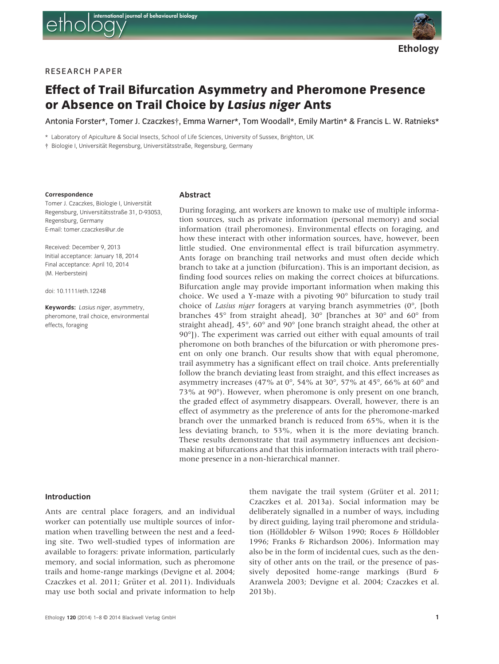

Ethology

# RESEARCH PAPER

# Effect of Trail Bifurcation Asymmetry and Pheromone Presence or Absence on Trail Choice by Lasius niger Ants

Antonia Forster\*, Tomer J. Czaczkes†, Emma Warner\*, Tom Woodall\*, Emily Martin\* & Francis L. W. Ratnieks\*

\* Laboratory of Apiculture & Social Insects, School of Life Sciences, University of Sussex, Brighton, UK

† Biologie I, Universität Regensburg, Universitätsstraße, Regensburg, Germany

#### Correspondence

Tomer J. Czaczkes, Biologie I, Universität Regensburg, Universitätsstraße 31, D-93053, Regensburg, Germany E-mail: tomer.czaczkes@ur.de

Received: December 9, 2013 Initial acceptance: January 18, 2014 Final acceptance: April 10, 2014 (M. Herberstein)

doi: 10.1111/eth.12248

Keywords: Lasius niger, asymmetry, pheromone, trail choice, environmental effects, foraging

#### Abstract

During foraging, ant workers are known to make use of multiple information sources, such as private information (personal memory) and social information (trail pheromones). Environmental effects on foraging, and how these interact with other information sources, have, however, been little studied. One environmental effect is trail bifurcation asymmetry. Ants forage on branching trail networks and must often decide which branch to take at a junction (bifurcation). This is an important decision, as finding food sources relies on making the correct choices at bifurcations. Bifurcation angle may provide important information when making this choice. We used a Y-maze with a pivoting 90° bifurcation to study trail choice of Lasius niger foragers at varying branch asymmetries (0°, [both branches 45° from straight ahead], 30° [branches at 30° and 60° from straight ahead],  $45^{\circ}$ ,  $60^{\circ}$  and  $90^{\circ}$  [one branch straight ahead, the other at 90°]). The experiment was carried out either with equal amounts of trail pheromone on both branches of the bifurcation or with pheromone present on only one branch. Our results show that with equal pheromone, trail asymmetry has a significant effect on trail choice. Ants preferentially follow the branch deviating least from straight, and this effect increases as asymmetry increases (47% at 0°, 54% at 30°, 57% at 45°, 66% at 60° and 73% at 90°). However, when pheromone is only present on one branch, the graded effect of asymmetry disappears. Overall, however, there is an effect of asymmetry as the preference of ants for the pheromone-marked branch over the unmarked branch is reduced from 65%, when it is the less deviating branch, to 53%, when it is the more deviating branch. These results demonstrate that trail asymmetry influences ant decisionmaking at bifurcations and that this information interacts with trail pheromone presence in a non-hierarchical manner.

#### Introduction

Ants are central place foragers, and an individual worker can potentially use multiple sources of information when travelling between the nest and a feeding site. Two well-studied types of information are available to foragers: private information, particularly memory, and social information, such as pheromone trails and home-range markings (Devigne et al. 2004; Czaczkes et al. 2011; Grüter et al. 2011). Individuals may use both social and private information to help

Ethology 120 (2014) 1–8 © 2014 Blackwell Verlag GmbH 1

them navigate the trail system (Grüter et al.  $2011$ ; Czaczkes et al. 2013a). Social information may be deliberately signalled in a number of ways, including by direct guiding, laying trail pheromone and stridulation (Hölldobler & Wilson 1990; Roces & Hölldobler 1996; Franks & Richardson 2006). Information may also be in the form of incidental cues, such as the density of other ants on the trail, or the presence of passively deposited home-range markings (Burd & Aranwela 2003; Devigne et al. 2004; Czaczkes et al. 2013b).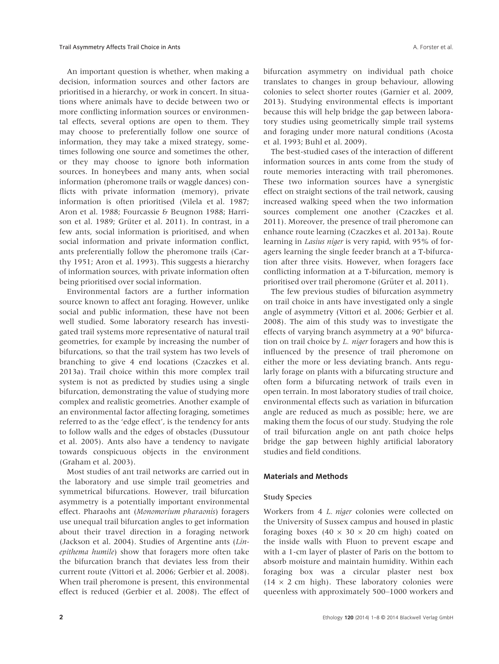An important question is whether, when making a decision, information sources and other factors are prioritised in a hierarchy, or work in concert. In situations where animals have to decide between two or more conflicting information sources or environmental effects, several options are open to them. They may choose to preferentially follow one source of information, they may take a mixed strategy, sometimes following one source and sometimes the other, or they may choose to ignore both information sources. In honeybees and many ants, when social information (pheromone trails or waggle dances) conflicts with private information (memory), private information is often prioritised (Vilela et al. 1987; Aron et al. 1988; Fourcassie & Beugnon 1988; Harrison et al. 1989; Grüter et al. 2011). In contrast, in a few ants, social information is prioritised, and when social information and private information conflict, ants preferentially follow the pheromone trails (Carthy 1951; Aron et al. 1993). This suggests a hierarchy of information sources, with private information often being prioritised over social information.

Environmental factors are a further information source known to affect ant foraging. However, unlike social and public information, these have not been well studied. Some laboratory research has investigated trail systems more representative of natural trail geometries, for example by increasing the number of bifurcations, so that the trail system has two levels of branching to give 4 end locations (Czaczkes et al. 2013a). Trail choice within this more complex trail system is not as predicted by studies using a single bifurcation, demonstrating the value of studying more complex and realistic geometries. Another example of an environmental factor affecting foraging, sometimes referred to as the 'edge effect', is the tendency for ants to follow walls and the edges of obstacles (Dussutour et al. 2005). Ants also have a tendency to navigate towards conspicuous objects in the environment (Graham et al. 2003).

Most studies of ant trail networks are carried out in the laboratory and use simple trail geometries and symmetrical bifurcations. However, trail bifurcation asymmetry is a potentially important environmental effect. Pharaohs ant (Monomorium pharaonis) foragers use unequal trail bifurcation angles to get information about their travel direction in a foraging network (Jackson et al. 2004). Studies of Argentine ants (Linepithema humile) show that foragers more often take the bifurcation branch that deviates less from their current route (Vittori et al. 2006; Gerbier et al. 2008). When trail pheromone is present, this environmental effect is reduced (Gerbier et al. 2008). The effect of

bifurcation asymmetry on individual path choice translates to changes in group behaviour, allowing colonies to select shorter routes (Garnier et al. 2009, 2013). Studying environmental effects is important because this will help bridge the gap between laboratory studies using geometrically simple trail systems and foraging under more natural conditions (Acosta et al. 1993; Buhl et al. 2009).

The best-studied cases of the interaction of different information sources in ants come from the study of route memories interacting with trail pheromones. These two information sources have a synergistic effect on straight sections of the trail network, causing increased walking speed when the two information sources complement one another (Czaczkes et al. 2011). Moreover, the presence of trail pheromone can enhance route learning (Czaczkes et al. 2013a). Route learning in Lasius niger is very rapid, with 95% of foragers learning the single feeder branch at a T-bifurcation after three visits. However, when foragers face conflicting information at a T-bifurcation, memory is prioritised over trail pheromone (Grüter et al. 2011).

The few previous studies of bifurcation asymmetry on trail choice in ants have investigated only a single angle of asymmetry (Vittori et al. 2006; Gerbier et al. 2008). The aim of this study was to investigate the effects of varying branch asymmetry at a 90° bifurcation on trail choice by L. niger foragers and how this is influenced by the presence of trail pheromone on either the more or less deviating branch. Ants regularly forage on plants with a bifurcating structure and often form a bifurcating network of trails even in open terrain. In most laboratory studies of trail choice, environmental effects such as variation in bifurcation angle are reduced as much as possible; here, we are making them the focus of our study. Studying the role of trail bifurcation angle on ant path choice helps bridge the gap between highly artificial laboratory studies and field conditions.

### Materials and Methods

#### Study Species

Workers from 4 L. niger colonies were collected on the University of Sussex campus and housed in plastic foraging boxes (40  $\times$  30  $\times$  20 cm high) coated on the inside walls with Fluon to prevent escape and with a 1-cm layer of plaster of Paris on the bottom to absorb moisture and maintain humidity. Within each foraging box was a circular plaster nest box  $(14 \times 2$  cm high). These laboratory colonies were queenless with approximately 500–1000 workers and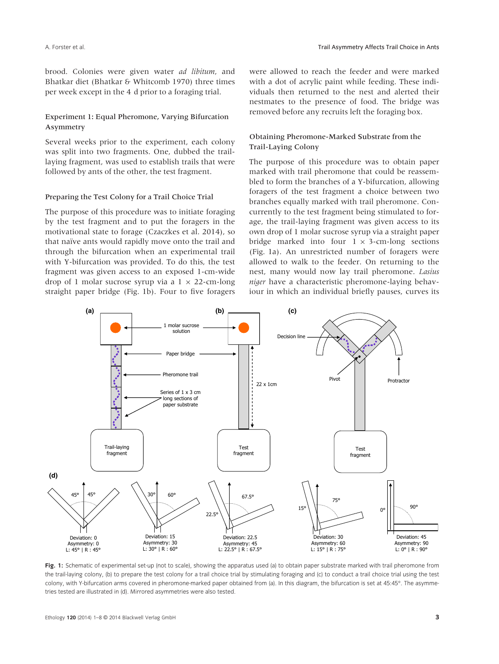brood. Colonies were given water ad libitum, and Bhatkar diet (Bhatkar & Whitcomb 1970) three times per week except in the 4 d prior to a foraging trial.

## Experiment 1: Equal Pheromone, Varying Bifurcation Asymmetry

Several weeks prior to the experiment, each colony was split into two fragments. One, dubbed the traillaying fragment, was used to establish trails that were followed by ants of the other, the test fragment.

#### Preparing the Test Colony for a Trail Choice Trial

The purpose of this procedure was to initiate foraging by the test fragment and to put the foragers in the motivational state to forage (Czaczkes et al. 2014), so that naïve ants would rapidly move onto the trail and through the bifurcation when an experimental trail with Y-bifurcation was provided. To do this, the test fragment was given access to an exposed 1-cm-wide drop of 1 molar sucrose syrup via a  $1 \times 22$ -cm-long straight paper bridge (Fig. 1b). Four to five foragers were allowed to reach the feeder and were marked with a dot of acrylic paint while feeding. These individuals then returned to the nest and alerted their nestmates to the presence of food. The bridge was removed before any recruits left the foraging box.

## Obtaining Pheromone-Marked Substrate from the Trail-Laying Colony

The purpose of this procedure was to obtain paper marked with trail pheromone that could be reassembled to form the branches of a Y-bifurcation, allowing foragers of the test fragment a choice between two branches equally marked with trail pheromone. Concurrently to the test fragment being stimulated to forage, the trail-laying fragment was given access to its own drop of 1 molar sucrose syrup via a straight paper bridge marked into four  $1 \times 3$ -cm-long sections (Fig. 1a). An unrestricted number of foragers were allowed to walk to the feeder. On returning to the nest, many would now lay trail pheromone. Lasius niger have a characteristic pheromone-laying behaviour in which an individual briefly pauses, curves its



Fig. 1: Schematic of experimental set-up (not to scale), showing the apparatus used (a) to obtain paper substrate marked with trail pheromone from the trail-laying colony, (b) to prepare the test colony for a trail choice trial by stimulating foraging and (c) to conduct a trail choice trial using the test colony, with Y-bifurcation arms covered in pheromone-marked paper obtained from (a). In this diagram, the bifurcation is set at 45:45°. The asymmetries tested are illustrated in (d). Mirrored asymmetries were also tested.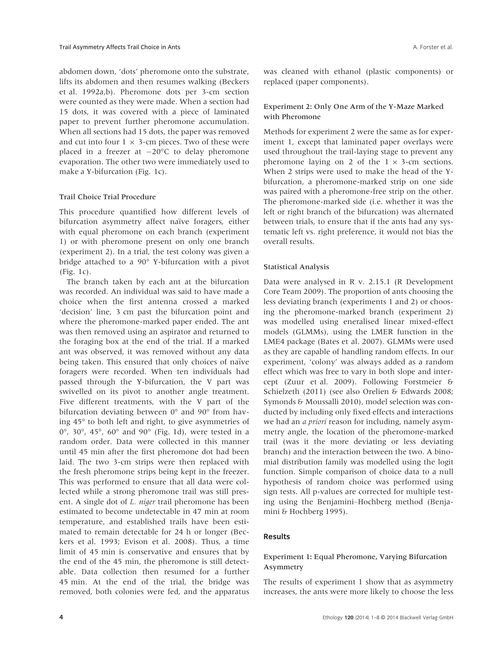abdomen down, 'dots' pheromone onto the substrate, lifts its abdomen and then resumes walking (Beckers et al. 1992a,b). Pheromone dots per 3-cm section were counted as they were made. When a section had 15 dots, it was covered with a piece of laminated paper to prevent further pheromone accumulation. When all sections had 15 dots, the paper was removed and cut into four  $1 \times 3$ -cm pieces. Two of these were placed in a freezer at  $-20^{\circ}$ C to delay pheromone evaporation. The other two were immediately used to make a Y-bifurcation (Fig. 1c).

#### Trail Choice Trial Procedure

This procedure quantified how different levels of bifurcation asymmetry affect naïve foragers, either with equal pheromone on each branch (experiment 1) or with pheromone present on only one branch (experiment 2). In a trial, the test colony was given a bridge attached to a 90° Y-bifurcation with a pivot (Fig. 1c).

The branch taken by each ant at the bifurcation was recorded. An individual was said to have made a choice when the first antenna crossed a marked 'decision' line, 3 cm past the bifurcation point and where the pheromone-marked paper ended. The ant was then removed using an aspirator and returned to the foraging box at the end of the trial. If a marked ant was observed, it was removed without any data being taken. This ensured that only choices of naïve foragers were recorded. When ten individuals had passed through the Y-bifurcation, the V part was swivelled on its pivot to another angle treatment. Five different treatments, with the V part of the bifurcation deviating between 0° and 90° from having 45° to both left and right, to give asymmetries of 0°, 30°, 45°, 60° and 90° (Fig. 1d), were tested in a random order. Data were collected in this manner until 45 min after the first pheromone dot had been laid. The two 3-cm strips were then replaced with the fresh pheromone strips being kept in the freezer. This was performed to ensure that all data were collected while a strong pheromone trail was still present. A single dot of *L. niger* trail pheromone has been estimated to become undetectable in 47 min at room temperature, and established trails have been estimated to remain detectable for 24 h or longer (Beckers et al. 1993; Evison et al. 2008). Thus, a time limit of 45 min is conservative and ensures that by the end of the 45 min, the pheromone is still detectable. Data collection then resumed for a further 45 min. At the end of the trial, the bridge was removed, both colonies were fed, and the apparatus

was cleaned with ethanol (plastic components) or replaced (paper components).

#### Experiment 2: Only One Arm of the Y-Maze Marked with Pheromone

Methods for experiment 2 were the same as for experiment 1, except that laminated paper overlays were used throughout the trail-laying stage to prevent any pheromone laying on 2 of the  $1 \times 3$ -cm sections. When 2 strips were used to make the head of the Ybifurcation, a pheromone-marked strip on one side was paired with a pheromone-free strip on the other. The pheromone-marked side (i.e. whether it was the left or right branch of the bifurcation) was alternated between trials, to ensure that if the ants had any systematic left vs. right preference, it would not bias the overall results.

#### Statistical Analysis

Data were analysed in R v. 2.15.1 (R Development Core Team 2009). The proportion of ants choosing the less deviating branch (experiments 1 and 2) or choosing the pheromone-marked branch (experiment 2) was modelled using eneralised linear mixed-effect models (GLMMs), using the LMER function in the LME4 package (Bates et al. 2007). GLMMs were used as they are capable of handling random effects. In our experiment, 'colony' was always added as a random effect which was free to vary in both slope and intercept (Zuur et al. 2009). Following Forstmeier & Schielzeth (2011) (see also Orelien & Edwards 2008; Symonds & Moussalli 2010), model selection was conducted by including only fixed effects and interactions we had an a priori reason for including, namely asymmetry angle, the location of the pheromone-marked trail (was it the more deviating or less deviating branch) and the interaction between the two. A binomial distribution family was modelled using the logit function. Simple comparison of choice data to a null hypothesis of random choice was performed using sign tests. All p-values are corrected for multiple testing using the Benjamini–Hochberg method (Benjamini & Hochberg 1995).

## Results

## Experiment 1: Equal Pheromone, Varying Bifurcation Asymmetry

The results of experiment 1 show that as asymmetry increases, the ants were more likely to choose the less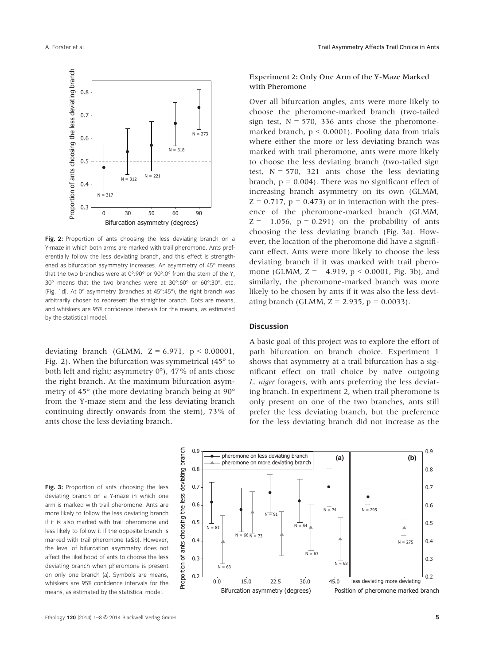

Fig. 2: Proportion of ants choosing the less deviating branch on a Y-maze in which both arms are marked with trail pheromone. Ants preferentially follow the less deviating branch, and this effect is strengthened as bifurcation asymmetry increases. An asymmetry of 45° means that the two branches were at 0°:90° or 90°:0° from the stem of the Y, 30° means that the two branches were at 30°:60° or 60°:30°, etc. (Fig. 1d). At 0° asymmetry (branches at 45°:45°), the right branch was arbitrarily chosen to represent the straighter branch. Dots are means, and whiskers are 95% confidence intervals for the means, as estimated by the statistical model.

deviating branch (GLMM,  $Z = 6.971$ ,  $p < 0.00001$ , Fig. 2). When the bifurcation was symmetrical (45° to both left and right; asymmetry 0°), 47% of ants chose the right branch. At the maximum bifurcation asymmetry of 45° (the more deviating branch being at 90° from the Y-maze stem and the less deviating branch continuing directly onwards from the stem), 73% of ants chose the less deviating branch.

## Experiment 2: Only One Arm of the Y-Maze Marked with Pheromone

Over all bifurcation angles, ants were more likely to choose the pheromone-marked branch (two-tailed sign test,  $N = 570$ , 336 ants chose the pheromonemarked branch,  $p < 0.0001$ ). Pooling data from trials where either the more or less deviating branch was marked with trail pheromone, ants were more likely to choose the less deviating branch (two-tailed sign test,  $N = 570$ , 321 ants chose the less deviating branch,  $p = 0.004$ ). There was no significant effect of increasing branch asymmetry on its own (GLMM,  $Z = 0.717$ ,  $p = 0.473$ ) or in interaction with the presence of the pheromone-marked branch (GLMM,  $Z = -1.056$ ,  $p = 0.291$ ) on the probability of ants choosing the less deviating branch (Fig. 3a). However, the location of the pheromone did have a significant effect. Ants were more likely to choose the less deviating branch if it was marked with trail pheromone (GLMM,  $Z = -4.919$ ,  $p < 0.0001$ , Fig. 3b), and similarly, the pheromone-marked branch was more likely to be chosen by ants if it was also the less deviating branch (GLMM,  $Z = 2.935$ ,  $p = 0.0033$ ).

#### Discussion

A basic goal of this project was to explore the effort of path bifurcation on branch choice. Experiment 1 shows that asymmetry at a trail bifurcation has a significant effect on trail choice by naïve outgoing L. niger foragers, with ants preferring the less deviating branch. In experiment 2, when trail pheromone is only present on one of the two branches, ants still prefer the less deviating branch, but the preference for the less deviating branch did not increase as the

Fig. 3: Proportion of ants choosing the less deviating branch on a Y-maze in which one arm is marked with trail pheromone. Ants are more likely to follow the less deviating branch if it is also marked with trail pheromone and less likely to follow it if the opposite branch is marked with trail pheromone (a&b). However, the level of bifurcation asymmetry does not affect the likelihood of ants to choose the less deviating branch when pheromone is present on only one branch (a). Symbols are means, whiskers are 95% confidence intervals for the means, as estimated by the statistical model.

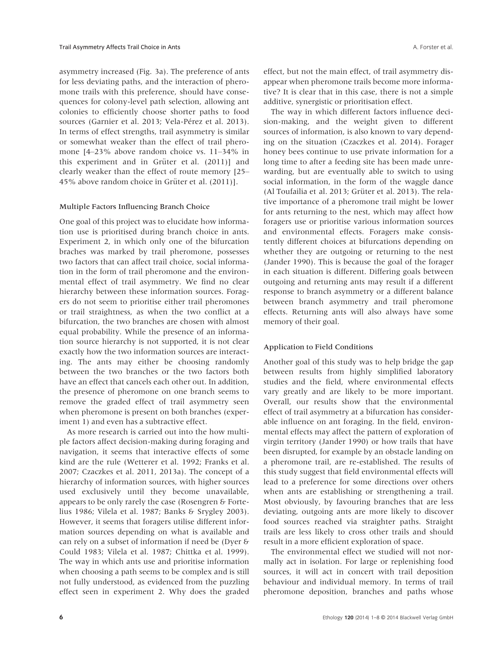asymmetry increased (Fig. 3a). The preference of ants for less deviating paths, and the interaction of pheromone trails with this preference, should have consequences for colony-level path selection, allowing ant colonies to efficiently choose shorter paths to food sources (Garnier et al. 2013; Vela-Pérez et al. 2013). In terms of effect strengths, trail asymmetry is similar or somewhat weaker than the effect of trail pheromone [4–23% above random choice vs. 11–34% in this experiment and in Grüter et al.  $(2011)$ ] and clearly weaker than the effect of route memory [25– 45% above random choice in Grüter et al. (2011)].

### Multiple Factors Influencing Branch Choice

One goal of this project was to elucidate how information use is prioritised during branch choice in ants. Experiment 2, in which only one of the bifurcation braches was marked by trail pheromone, possesses two factors that can affect trail choice, social information in the form of trail pheromone and the environmental effect of trail asymmetry. We find no clear hierarchy between these information sources. Foragers do not seem to prioritise either trail pheromones or trail straightness, as when the two conflict at a bifurcation, the two branches are chosen with almost equal probability. While the presence of an information source hierarchy is not supported, it is not clear exactly how the two information sources are interacting. The ants may either be choosing randomly between the two branches or the two factors both have an effect that cancels each other out. In addition, the presence of pheromone on one branch seems to remove the graded effect of trail asymmetry seen when pheromone is present on both branches (experiment 1) and even has a subtractive effect.

As more research is carried out into the how multiple factors affect decision-making during foraging and navigation, it seems that interactive effects of some kind are the rule (Wetterer et al. 1992; Franks et al. 2007; Czaczkes et al. 2011, 2013a). The concept of a hierarchy of information sources, with higher sources used exclusively until they become unavailable, appears to be only rarely the case (Rosengren & Fortelius 1986; Vilela et al. 1987; Banks & Srygley 2003). However, it seems that foragers utilise different information sources depending on what is available and can rely on a subset of information if need be (Dyer & Could 1983; Vilela et al. 1987; Chittka et al. 1999). The way in which ants use and prioritise information when choosing a path seems to be complex and is still not fully understood, as evidenced from the puzzling effect seen in experiment 2. Why does the graded effect, but not the main effect, of trail asymmetry disappear when pheromone trails become more informative? It is clear that in this case, there is not a simple additive, synergistic or prioritisation effect.

The way in which different factors influence decision-making, and the weight given to different sources of information, is also known to vary depending on the situation (Czaczkes et al. 2014). Forager honey bees continue to use private information for a long time to after a feeding site has been made unrewarding, but are eventually able to switch to using social information, in the form of the waggle dance (Al Toufailia et al. 2013; Grüter et al. 2013). The relative importance of a pheromone trail might be lower for ants returning to the nest, which may affect how foragers use or prioritise various information sources and environmental effects. Foragers make consistently different choices at bifurcations depending on whether they are outgoing or returning to the nest (Jander 1990). This is because the goal of the forager in each situation is different. Differing goals between outgoing and returning ants may result if a different response to branch asymmetry or a different balance between branch asymmetry and trail pheromone effects. Returning ants will also always have some memory of their goal.

## Application to Field Conditions

Another goal of this study was to help bridge the gap between results from highly simplified laboratory studies and the field, where environmental effects vary greatly and are likely to be more important. Overall, our results show that the environmental effect of trail asymmetry at a bifurcation has considerable influence on ant foraging. In the field, environmental effects may affect the pattern of exploration of virgin territory (Jander 1990) or how trails that have been disrupted, for example by an obstacle landing on a pheromone trail, are re-established. The results of this study suggest that field environmental effects will lead to a preference for some directions over others when ants are establishing or strengthening a trail. Most obviously, by favouring branches that are less deviating, outgoing ants are more likely to discover food sources reached via straighter paths. Straight trails are less likely to cross other trails and should result in a more efficient exploration of space.

The environmental effect we studied will not normally act in isolation. For large or replenishing food sources, it will act in concert with trail deposition behaviour and individual memory. In terms of trail pheromone deposition, branches and paths whose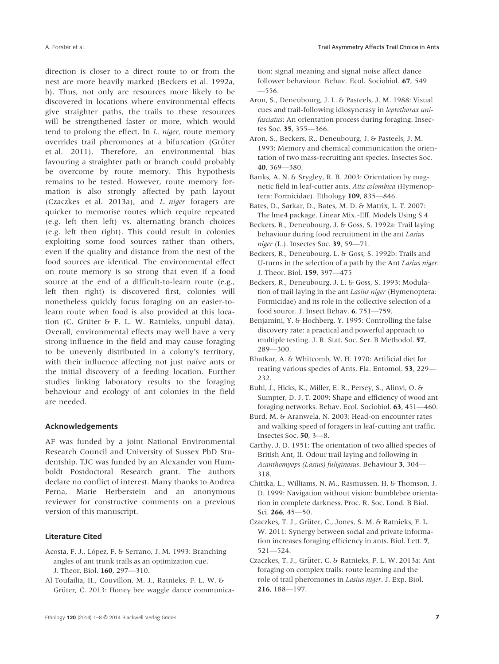direction is closer to a direct route to or from the nest are more heavily marked (Beckers et al. 1992a, b). Thus, not only are resources more likely to be discovered in locations where environmental effects give straighter paths, the trails to these resources will be strengthened faster or more, which would tend to prolong the effect. In L. niger, route memory overrides trail pheromones at a bifurcation (Grüter et al. 2011). Therefore, an environmental bias favouring a straighter path or branch could probably be overcome by route memory. This hypothesis remains to be tested. However, route memory formation is also strongly affected by path layout (Czaczkes et al. 2013a), and L. niger foragers are quicker to memorise routes which require repeated (e.g. left then left) vs. alternating branch choices (e.g. left then right). This could result in colonies exploiting some food sources rather than others, even if the quality and distance from the nest of the food sources are identical. The environmental effect on route memory is so strong that even if a food source at the end of a difficult-to-learn route (e.g., left then right) is discovered first, colonies will nonetheless quickly focus foraging on an easier-tolearn route when food is also provided at this location (C. Grüter & F. L. W. Ratnieks, unpubl data). Overall, environmental effects may well have a very strong influence in the field and may cause foraging to be unevenly distributed in a colony's territory, with their influence affecting not just naïve ants or the initial discovery of a feeding location. Further studies linking laboratory results to the foraging behaviour and ecology of ant colonies in the field are needed.

#### Acknowledgements

AF was funded by a joint National Environmental Research Council and University of Sussex PhD Studentship. TJC was funded by an Alexander von Humboldt Postdoctoral Research grant. The authors declare no conflict of interest. Many thanks to Andrea Perna, Marie Herberstein and an anonymous reviewer for constructive comments on a previous version of this manuscript.

## Literature Cited

- Acosta, F. J., López, F. & Serrano, J. M. 1993: Branching angles of ant trunk trails as an optimization cue. J. Theor. Biol. 160, 297—310.
- Al Toufailia, H., Couvillon, M. J., Ratnieks, F. L. W. & Grüter, C. 2013: Honey bee waggle dance communica-

tion: signal meaning and signal noise affect dance follower behaviour. Behav. Ecol. Sociobiol. 67, 549 —556.

- Aron, S., Deneubourg, J. L. & Pasteels, J. M. 1988: Visual cues and trail-following idiosyncrasy in leptothorax unifasciatus: An orientation process during foraging. Insectes Soc. 35, 355—366.
- Aron, S., Beckers, R., Deneubourg, J. & Pasteels, J. M. 1993: Memory and chemical communication the orientation of two mass-recruiting ant species. Insectes Soc. 40, 369—380.
- Banks, A. N. & Srygley, R. B. 2003: Orientation by magnetic field in leaf-cutter ants, Atta colombica (Hymenoptera: Formicidae). Ethology 109, 835—846.
- Bates, D., Sarkar, D., Bates, M. D. & Matrix, L. T. 2007: The lme4 package. Linear Mix.-Eff. Models Using S 4
- Beckers, R., Deneubourg, J. & Goss, S. 1992a: Trail laying behaviour during food recruitment in the ant Lasius niger (L.). Insectes Soc. 39, 59-71.
- Beckers, R., Deneubourg, L. & Goss, S. 1992b: Trails and U-turns in the selection of a path by the Ant Lasius niger. J. Theor. Biol. 159, 397—475
- Beckers, R., Deneubourg, J. L. & Goss, S. 1993: Modulation of trail laying in the ant Lasius niger (Hymenoptera: Formicidae) and its role in the collective selection of a food source. J. Insect Behav. 6, 751—759.
- Benjamini, Y. & Hochberg, Y. 1995: Controlling the false discovery rate: a practical and powerful approach to multiple testing. J. R. Stat. Soc. Ser. B Methodol. 57, 289—300.
- Bhatkar, A. & Whitcomb, W. H. 1970: Artificial diet for rearing various species of Ants. Fla. Entomol. 53, 229— 232.
- Buhl, J., Hicks, K., Miller, E. R., Persey, S., Alinvi, O. & Sumpter, D. J. T. 2009: Shape and efficiency of wood ant foraging networks. Behav. Ecol. Sociobiol. 63, 451—460.
- Burd, M. & Aranwela, N. 2003: Head-on encounter rates and walking speed of foragers in leaf-cutting ant traffic. Insectes Soc. 50, 3—8.
- Carthy, J. D. 1951: The orientation of two allied species of British Ant, II. Odour trail laying and following in Acanthomyops (Lasius) fuliginosus. Behaviour 3, 304— 318.
- Chittka, L., Williams, N. M., Rasmussen, H. & Thomson, J. D. 1999: Navigation without vision: bumblebee orientation in complete darkness. Proc. R. Soc. Lond. B Biol. Sci. 266, 45—50.
- Czaczkes, T. J., Grüter, C., Jones, S. M. & Ratnieks, F. L. W. 2011: Synergy between social and private information increases foraging efficiency in ants. Biol. Lett. 7, 521—524.
- Czaczkes, T. J., Grüter, C. & Ratnieks, F. L. W. 2013a: Ant foraging on complex trails: route learning and the role of trail pheromones in Lasius niger. J. Exp. Biol. 216, 188—197.